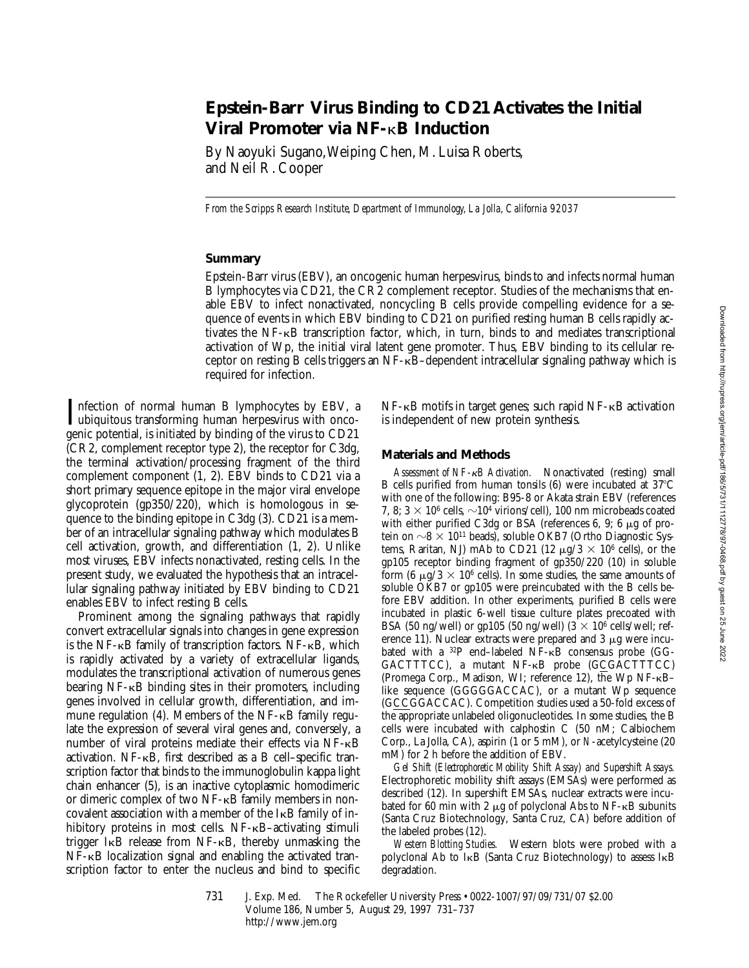# **Epstein-Barr Virus Binding to CD21 Activates the Initial Viral Promoter via NF-**k**B Induction**

By Naoyuki Sugano, Weiping Chen, M. Luisa Roberts, and Neil R. Cooper

*From the Scripps Research Institute, Department of Immunology, La Jolla, California 92037*

# **Summary**

Epstein-Barr virus (EBV), an oncogenic human herpesvirus, binds to and infects normal human B lymphocytes via CD21, the CR2 complement receptor. Studies of the mechanisms that enable EBV to infect nonactivated, noncycling B cells provide compelling evidence for a sequence of events in which EBV binding to CD21 on purified resting human B cells rapidly activates the NF-kB transcription factor, which, in turn, binds to and mediates transcriptional activation of Wp, the initial viral latent gene promoter. Thus, EBV binding to its cellular receptor on resting B cells triggers an  $NF-\kappa B$ –dependent intracellular signaling pathway which is required for infection.

Infection of normal human B lymphocytes by EBV, a<br>ubiquitous transforming human herpesvirus with onco-<br>sonic potential is initiated by hinding of the virus to CD21 ubiquitous transforming human herpesvirus with oncogenic potential, is initiated by binding of the virus to CD21 (CR2, complement receptor type 2), the receptor for C3dg, the terminal activation/processing fragment of the third complement component (1, 2). EBV binds to CD21 via a short primary sequence epitope in the major viral envelope glycoprotein (gp350/220), which is homologous in sequence to the binding epitope in C3dg (3). CD21 is a member of an intracellular signaling pathway which modulates B cell activation, growth, and differentiation (1, 2). Unlike most viruses, EBV infects nonactivated, resting cells. In the present study, we evaluated the hypothesis that an intracellular signaling pathway initiated by EBV binding to CD21 enables EBV to infect resting B cells.

Prominent among the signaling pathways that rapidly convert extracellular signals into changes in gene expression is the NF- $\kappa$ B family of transcription factors. NF- $\kappa$ B, which is rapidly activated by a variety of extracellular ligands, modulates the transcriptional activation of numerous genes bearing  $NF$ - $\kappa$ B binding sites in their promoters, including genes involved in cellular growth, differentiation, and immune regulation  $(4)$ . Members of the NF- $\kappa$ B family regulate the expression of several viral genes and, conversely, a number of viral proteins mediate their effects via NF-kB activation. NF-kB, first described as a B cell–specific transcription factor that binds to the immunoglobulin kappa light chain enhancer (5), is an inactive cytoplasmic homodimeric or dimeric complex of two NF-kB family members in noncovalent association with a member of the IkB family of inhibitory proteins in most cells. NF- $\kappa$ B-activating stimuli trigger  $I \kappa B$  release from NF- $\kappa B$ , thereby unmasking the NF- $\kappa$ B localization signal and enabling the activated transcription factor to enter the nucleus and bind to specific  $NF-\kappa B$  motifs in target genes; such rapid  $NF-\kappa B$  activation is independent of new protein synthesis.

### **Materials and Methods**

*Assessment of NF-*k*B Activation.* Nonactivated (resting) small B cells purified from human tonsils  $(6)$  were incubated at 37 $\degree$ C with one of the following: B95-8 or Akata strain EBV (references 7, 8;  $3 \times 10^6$  cells,  $\sim 10^4$  virions/cell), 100 nm microbeads coated with either purified C3dg or BSA (references 6, 9; 6  $\mu$ g of protein on  $\sim$ 8  $\times$  10<sup>11</sup> beads), soluble OKB7 (Ortho Diagnostic Systems, Raritan, NJ) mAb to CD21 (12  $\mu$ g/3  $\times$  10<sup>6</sup> cells), or the gp105 receptor binding fragment of gp350/220 (10) in soluble form (6  $\mu$ g/3  $\times$  10<sup>6</sup> cells). In some studies, the same amounts of soluble OKB7 or gp105 were preincubated with the B cells before EBV addition. In other experiments, purified B cells were incubated in plastic 6-well tissue culture plates precoated with BSA (50 ng/well) or gp105 (50 ng/well) ( $3 \times 10^6$  cells/well; reference 11). Nuclear extracts were prepared and  $3 \mu$ g were incubated with a 32P end–labeled NF-kB consensus probe (GG-GACTTTCC), a mutant NF-KB probe (GCGACTTTCC) (Promega Corp., Madison, WI; reference 12), the Wp NF-kB– like sequence (GGGGGACCAC), or a mutant Wp sequence (GCCGGACCAC). Competition studies used a 50-fold excess of the appropriate unlabeled oligonucleotides. In some studies, the B cells were incubated with calphostin C (50 nM; Calbiochem Corp., La Jolla, CA), aspirin (1 or 5 mM), or *N*-acetylcysteine (20 mM) for 2 h before the addition of EBV.

*Gel Shift (Electrophoretic Mobility Shift Assay) and Supershift Assays.* Electrophoretic mobility shift assays (EMSAs) were performed as described (12). In supershift EMSAs, nuclear extracts were incubated for 60 min with 2  $\mu$ g of polyclonal Abs to NF- $\kappa$ B subunits (Santa Cruz Biotechnology, Santa Cruz, CA) before addition of the labeled probes (12).

*Western Blotting Studies.* Western blots were probed with a polyclonal Ab to IkB (Santa Cruz Biotechnology) to assess IkB degradation.

731 J. Exp. Med. The Rockefeller University Press • 0022-1007/97/09/731/07 \$2.00 Volume 186, Number 5, August 29, 1997 731–737 http://www.jem.org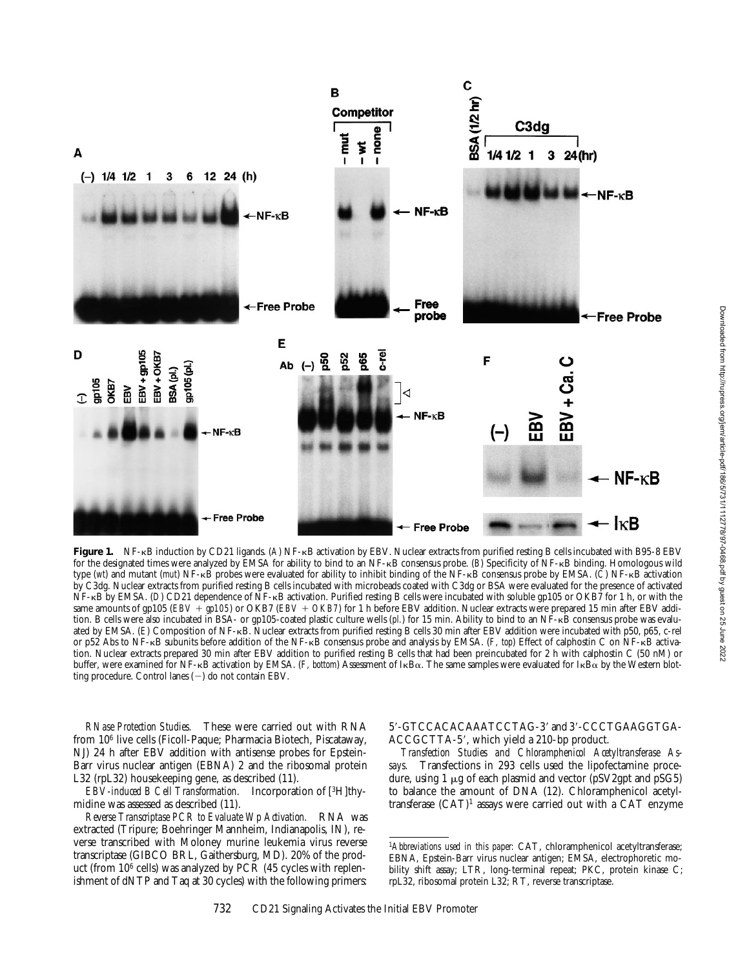

Figure 1. NF-kB induction by CD21 ligands. (A) NF-kB activation by EBV. Nuclear extracts from purified resting B cells incubated with B95-8 EBV for the designated times were analyzed by EMSA for ability to bind to an NF-kB consensus probe. (*B*) Specificity of NF-kB binding. Homologous wild type (*wt*) and mutant (*mut*) NF-kB probes were evaluated for ability to inhibit binding of the NF-kB consensus probe by EMSA. (*C*) NF-kB activation by C3dg. Nuclear extracts from purified resting B cells incubated with microbeads coated with C3dg or BSA were evaluated for the presence of activated NF-kB by EMSA. (*D*) CD21 dependence of NF-kB activation. Purified resting B cells were incubated with soluble gp105 or OKB7 for 1 h, or with the same amounts of gp105 (*EBV* + *gp105*) or OKB7 (*EBV* + *OKB7*) for 1 h before EBV addition. Nuclear extracts were prepared 15 min after EBV addition. B cells were also incubated in BSA- or gp105-coated plastic culture wells (pl.) for 15 min. Ability to bind to an NF-KB consensus probe was evaluated by EMSA. (*E*) Composition of NF-kB. Nuclear extracts from purified resting B cells 30 min after EBV addition were incubated with p50, p65, c-rel or p52 Abs to NF-kB subunits before addition of the NF-kB consensus probe and analysis by EMSA. (*F, top*) Effect of calphostin C on NF-kB activation. Nuclear extracts prepared 30 min after EBV addition to purified resting B cells that had been preincubated for 2 h with calphostin C (50 nM) or buffer, were examined for NF-κB activation by EMSA. (*F, bottom*) Assessment of IκBα. The same samples were evaluated for IκBα by the Western blotting procedure. Control lanes  $(-)$  do not contain EBV.

*RNase Protection Studies.* These were carried out with RNA from 106 live cells (Ficoll-Paque; Pharmacia Biotech, Piscataway, NJ) 24 h after EBV addition with antisense probes for Epstein-Barr virus nuclear antigen (EBNA) 2 and the ribosomal protein L32 (rpL32) housekeeping gene, as described (11).

*EBV-induced B Cell Transformation.* Incorporation of [3H]thymidine was assessed as described (11).

*Reverse Transcriptase PCR to Evaluate Wp Activation.* RNA was extracted (Tripure; Boehringer Mannheim, Indianapolis, IN), reverse transcribed with Moloney murine leukemia virus reverse transcriptase (GIBCO BRL, Gaithersburg, MD). 20% of the product (from 106 cells) was analyzed by PCR (45 cycles with replenishment of dNTP and Taq at 30 cycles) with the following primers:

5'-GTCCACACAAATCCTAG-3' and 3'-CCCTGAAGGTGA-ACCGCTTA-5', which yield a 210-bp product.

*Transfection Studies and Chloramphenicol Acetyltransferase Assays.* Transfections in 293 cells used the lipofectamine procedure, using  $1 \mu$ g of each plasmid and vector (pSV2gpt and pSG5) to balance the amount of DNA (12). Chloramphenicol acetyltransferase (CAT)1 assays were carried out with a CAT enzyme

<sup>1</sup>*Abbreviations used in this paper:* CAT, chloramphenicol acetyltransferase; EBNA, Epstein-Barr virus nuclear antigen; EMSA, electrophoretic mobility shift assay; LTR, long-terminal repeat; PKC, protein kinase C; rpL32, ribosomal protein L32; RT, reverse transcriptase.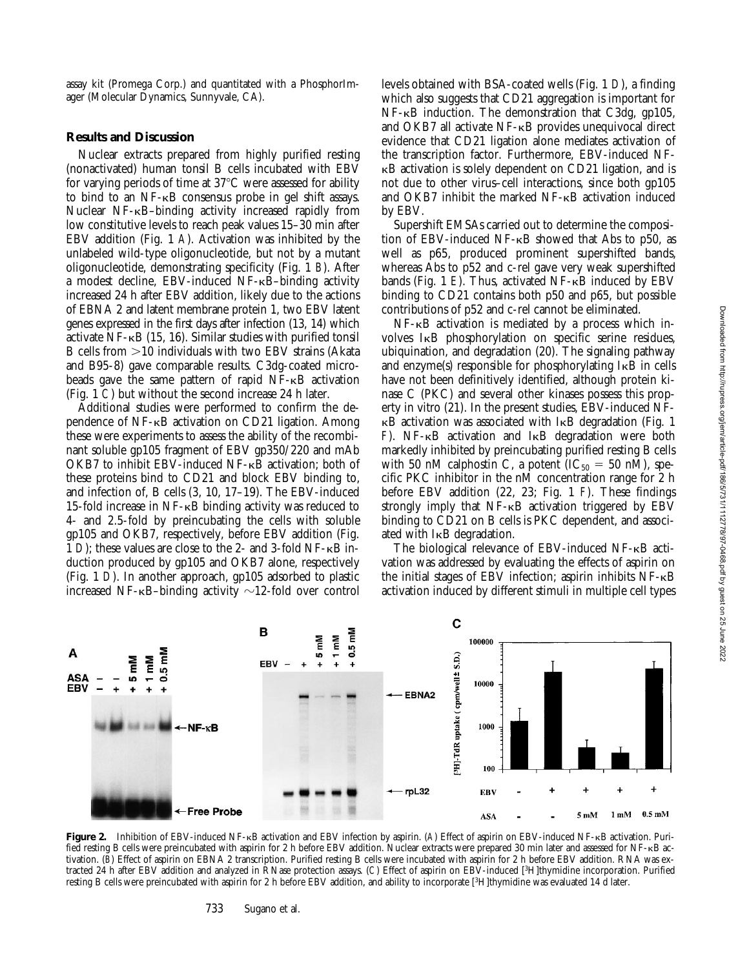assay kit (Promega Corp.) and quantitated with a PhosphorImager (Molecular Dynamics, Sunnyvale, CA).

### **Results and Discussion**

Nuclear extracts prepared from highly purified resting (nonactivated) human tonsil B cells incubated with EBV for varying periods of time at  $37^{\circ}$ C were assessed for ability to bind to an NF-kB consensus probe in gel shift assays. Nuclear NF-kB–binding activity increased rapidly from low constitutive levels to reach peak values 15–30 min after EBV addition (Fig. 1 *A*). Activation was inhibited by the unlabeled wild-type oligonucleotide, but not by a mutant oligonucleotide, demonstrating specificity (Fig. 1 *B*). After a modest decline, EBV-induced NF-kB–binding activity increased 24 h after EBV addition, likely due to the actions of EBNA 2 and latent membrane protein 1, two EBV latent genes expressed in the first days after infection (13, 14) which activate  $NF$ - $\kappa$ B (15, 16). Similar studies with purified tonsil B cells from  $>$ 10 individuals with two EBV strains (Akata and B95-8) gave comparable results. C3dg-coated microbeads gave the same pattern of rapid NF-kB activation (Fig. 1 *C*) but without the second increase 24 h later.

Additional studies were performed to confirm the dependence of NF-kB activation on CD21 ligation. Among these were experiments to assess the ability of the recombinant soluble gp105 fragment of EBV gp350/220 and mAb OKB7 to inhibit EBV-induced NF-kB activation; both of these proteins bind to CD21 and block EBV binding to, and infection of, B cells (3, 10, 17–19). The EBV-induced 15-fold increase in NF-kB binding activity was reduced to 4- and 2.5-fold by preincubating the cells with soluble gp105 and OKB7, respectively, before EBV addition (Fig. 1 *D*); these values are close to the 2- and 3-fold NF-kB induction produced by gp105 and OKB7 alone, respectively (Fig. 1 *D*). In another approach, gp105 adsorbed to plastic increased NF- $\kappa$ B-binding activity  $\sim$ 12-fold over control

levels obtained with BSA-coated wells (Fig. 1 *D*), a finding which also suggests that CD21 aggregation is important for NF-kB induction. The demonstration that C3dg, gp105, and OKB7 all activate NF-kB provides unequivocal direct evidence that CD21 ligation alone mediates activation of the transcription factor. Furthermore, EBV-induced NFkB activation is solely dependent on CD21 ligation, and is not due to other virus–cell interactions, since both gp105 and OKB7 inhibit the marked NF-kB activation induced by EBV.

Supershift EMSAs carried out to determine the composition of EBV-induced NF-kB showed that Abs to p50, as well as p65, produced prominent supershifted bands, whereas Abs to p52 and c-rel gave very weak supershifted bands (Fig. 1 *E*). Thus, activated NF- $\kappa$ B induced by EBV binding to CD21 contains both p50 and p65, but possible contributions of p52 and c-rel cannot be eliminated.

NF-kB activation is mediated by a process which involves IkB phosphorylation on specific serine residues, ubiquination, and degradation (20). The signaling pathway and enzyme(s) responsible for phosphorylating  $I \kappa B$  in cells have not been definitively identified, although protein kinase C (PKC) and several other kinases possess this property in vitro (21). In the present studies, EBV-induced NF- $\kappa$ B activation was associated with I $\kappa$ B degradation (Fig. 1) *F*). NF-kB activation and IkB degradation were both markedly inhibited by preincubating purified resting B cells with 50 nM calphostin C, a potent ( $IC_{50} = 50$  nM), specific PKC inhibitor in the nM concentration range for 2 h before EBV addition (22, 23; Fig. 1 *F*). These findings strongly imply that  $NF-\kappa B$  activation triggered by  $EBV$ binding to CD21 on B cells is PKC dependent, and associated with IkB degradation.

The biological relevance of EBV-induced NF-kB activation was addressed by evaluating the effects of aspirin on the initial stages of EBV infection; aspirin inhibits NF-kB activation induced by different stimuli in multiple cell types



**Figure 2.** Inhibition of EBV-induced NF-kB activation and EBV infection by aspirin. (*A*) Effect of aspirin on EBV-induced NF-kB activation. Purified resting B cells were preincubated with aspirin for 2 h before EBV addition. Nuclear extracts were prepared 30 min later and assessed for NF-kB activation. (*B*) Effect of aspirin on EBNA 2 transcription. Purified resting B cells were incubated with aspirin for 2 h before EBV addition. RNA was extracted 24 h after EBV addition and analyzed in RNase protection assays. (*C*) Effect of aspirin on EBV-induced [3H]thymidine incorporation. Purified resting B cells were preincubated with aspirin for 2 h before EBV addition, and ability to incorporate [3H]thymidine was evaluated 14 d later.

#### 733 Sugano et al.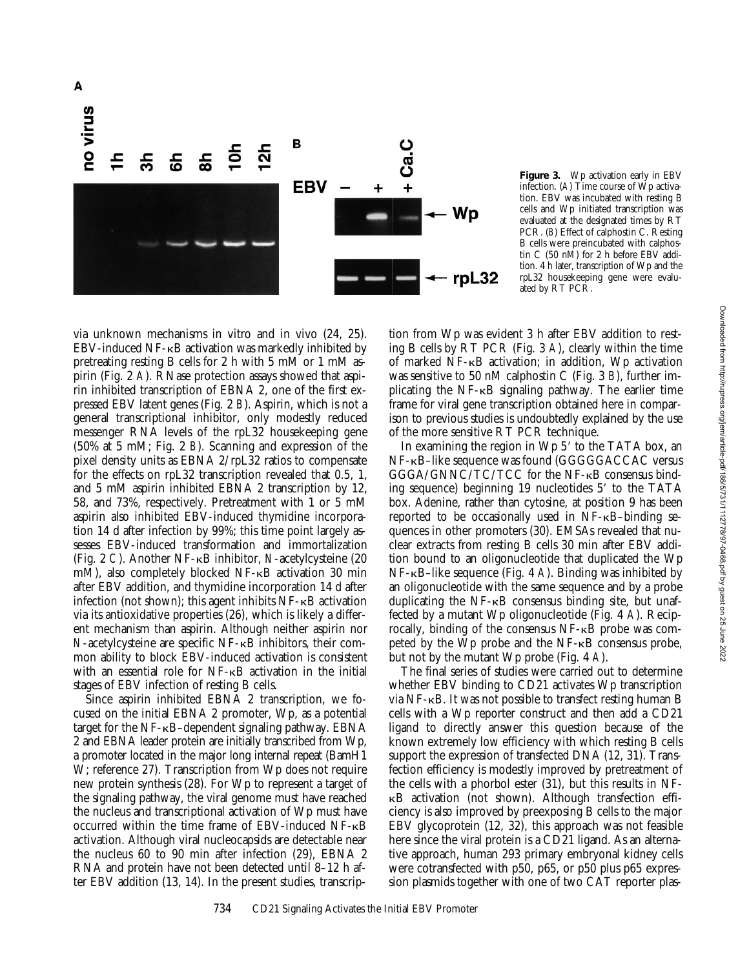

**Figure 3.** Wp activation early in EBV infection. (*A*) Time course of Wp activation. EBV was incubated with resting B cells and Wp initiated transcription was evaluated at the designated times by RT PCR. (*B*) Effect of calphostin C. Resting B cells were preincubated with calphostin C (50 nM) for 2 h before  $EBV$  addition. 4 h later, transcription of Wp and the rpL32 housekeeping gene were evaluated by RT PCR.

via unknown mechanisms in vitro and in vivo (24, 25). EBV-induced NF-kB activation was markedly inhibited by pretreating resting B cells for 2 h with 5 mM or 1 mM aspirin (Fig. 2 *A*). RNase protection assays showed that aspirin inhibited transcription of EBNA 2, one of the first expressed EBV latent genes (Fig. 2 *B*). Aspirin, which is not a general transcriptional inhibitor, only modestly reduced messenger RNA levels of the rpL32 housekeeping gene (50% at 5 mM; Fig. 2 *B*). Scanning and expression of the pixel density units as EBNA 2/rpL32 ratios to compensate for the effects on rpL32 transcription revealed that 0.5, 1, and 5 mM aspirin inhibited EBNA 2 transcription by 12, 58, and 73%, respectively. Pretreatment with 1 or 5 mM aspirin also inhibited EBV-induced thymidine incorporation 14 d after infection by 99%; this time point largely assesses EBV-induced transformation and immortalization (Fig. 2 *C*). Another NF-kB inhibitor, *N*-acetylcysteine (20 mM), also completely blocked NF- $\kappa$ B activation 30 min after EBV addition, and thymidine incorporation 14 d after infection (not shown); this agent inhibits  $NF - \kappa B$  activation via its antioxidative properties (26), which is likely a different mechanism than aspirin. Although neither aspirin nor *N*-acetylcysteine are specific NF-kB inhibitors, their common ability to block EBV-induced activation is consistent with an essential role for NF-kB activation in the initial stages of EBV infection of resting B cells.

Since aspirin inhibited EBNA 2 transcription, we focused on the initial EBNA 2 promoter, Wp, as a potential target for the NF-kB–dependent signaling pathway. EBNA 2 and EBNA leader protein are initially transcribed from Wp, a promoter located in the major long internal repeat (BamH1 W; reference 27). Transcription from Wp does not require new protein synthesis (28). For Wp to represent a target of the signaling pathway, the viral genome must have reached the nucleus and transcriptional activation of Wp must have occurred within the time frame of EBV-induced NF-kB activation. Although viral nucleocapsids are detectable near the nucleus 60 to 90 min after infection (29), EBNA 2 RNA and protein have not been detected until 8–12 h after EBV addition (13, 14). In the present studies, transcrip-

tion from Wp was evident 3 h after EBV addition to resting B cells by RT PCR (Fig. 3 *A*), clearly within the time of marked NF-kB activation; in addition, Wp activation was sensitive to 50 nM calphostin C (Fig. 3 *B*), further implicating the NF-kB signaling pathway. The earlier time frame for viral gene transcription obtained here in comparison to previous studies is undoubtedly explained by the use of the more sensitive RT PCR technique.

In examining the region in  $Wp 5'$  to the TATA box, an NF-kB–like sequence was found (GGGGGACCAC versus GGGA/GNNC/TC/TCC for the NF-kB consensus binding sequence) beginning  $19$  nucleotides  $5'$  to the TATA box. Adenine, rather than cytosine, at position 9 has been reported to be occasionally used in NF-kB–binding sequences in other promoters (30). EMSAs revealed that nuclear extracts from resting B cells 30 min after EBV addition bound to an oligonucleotide that duplicated the Wp NF-kB–like sequence (Fig. 4 *A*). Binding was inhibited by an oligonucleotide with the same sequence and by a probe duplicating the  $NF-\kappa B$  consensus binding site, but unaffected by a mutant Wp oligonucleotide (Fig. 4 *A*). Reciprocally, binding of the consensus NF-kB probe was competed by the Wp probe and the NF-kB consensus probe, but not by the mutant Wp probe (Fig. 4 *A*).

The final series of studies were carried out to determine whether EBV binding to CD21 activates Wp transcription via NF-kB. It was not possible to transfect resting human B cells with a Wp reporter construct and then add a CD21 ligand to directly answer this question because of the known extremely low efficiency with which resting B cells support the expression of transfected DNA (12, 31). Transfection efficiency is modestly improved by pretreatment of the cells with a phorbol ester (31), but this results in NFkB activation (not shown). Although transfection efficiency is also improved by preexposing B cells to the major EBV glycoprotein (12, 32), this approach was not feasible here since the viral protein is a CD21 ligand. As an alternative approach, human 293 primary embryonal kidney cells were cotransfected with p50, p65, or p50 plus p65 expression plasmids together with one of two CAT reporter plas-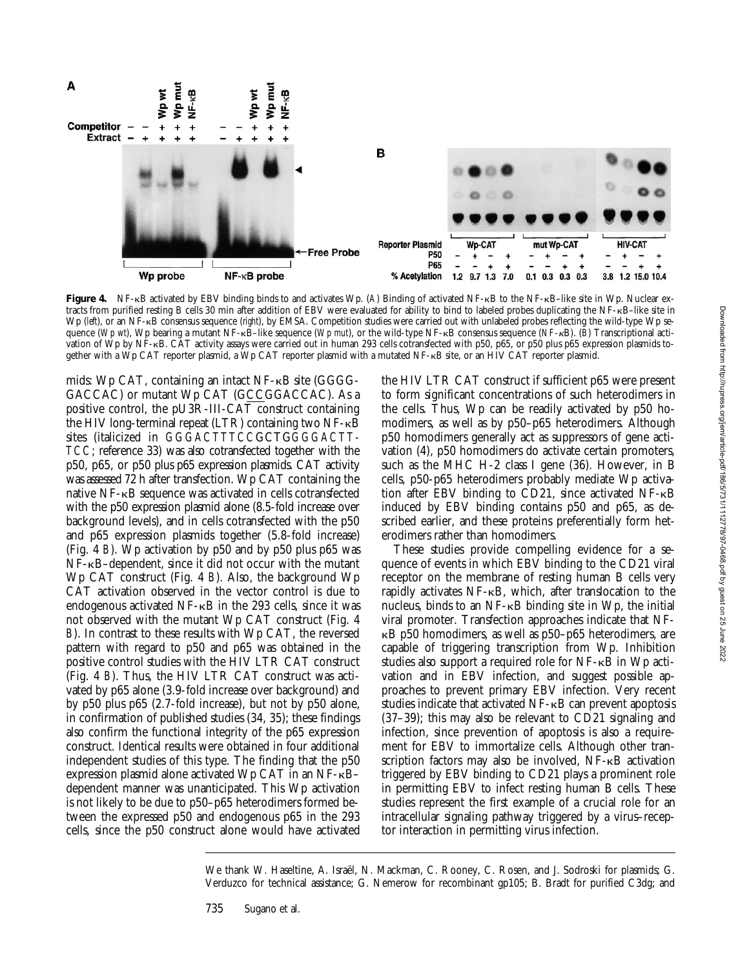

**Figure 4.** NF-kB activated by EBV binding binds to and activates Wp. (*A*) Binding of activated NF-kB to the NF-kB–like site in Wp. Nuclear extracts from purified resting B cells 30 min after addition of EBV were evaluated for ability to bind to labeled probes duplicating the NF-kB–like site in Wp (left), or an NF-kB consensus sequence (right), by EMSA. Competition studies were carried out with unlabeled probes reflecting the wild-type Wp sequence (*Wp wt*), Wp bearing a mutant NF-kB–like sequence (*Wp mut*), or the wild-type NF-kB consensus sequence (*NF-*kB). (*B*) Transcriptional activation of Wp by NF-kB. CAT activity assays were carried out in human 293 cells cotransfected with p50, p65, or p50 plus p65 expression plasmids together with a Wp CAT reporter plasmid, a Wp CAT reporter plasmid with a mutated NF-KB site, or an HIV CAT reporter plasmid.

mids: Wp CAT, containing an intact NF-kB site (GGGG-GACCAC) or mutant Wp CAT (GCCGGACCAC). As a positive control, the pU3R-III-CAT construct containing the HIV long-terminal repeat (LTR) containing two NF-kB sites (italicized in *GGGACTTTCC*GCTG*GGGACTT-TCC*; reference 33) was also cotransfected together with the p50, p65, or p50 plus p65 expression plasmids. CAT activity was assessed 72 h after transfection. Wp CAT containing the native NF-kB sequence was activated in cells cotransfected with the p50 expression plasmid alone (8.5-fold increase over background levels), and in cells cotransfected with the p50 and p65 expression plasmids together (5.8-fold increase) (Fig. 4 *B*). Wp activation by p50 and by p50 plus p65 was NF-kB–dependent, since it did not occur with the mutant Wp CAT construct (Fig. 4 *B*). Also, the background Wp CAT activation observed in the vector control is due to endogenous activated  $NF$ - $\kappa$ B in the 293 cells, since it was not observed with the mutant Wp CAT construct (Fig. 4 *B*). In contrast to these results with Wp CAT, the reversed pattern with regard to p50 and p65 was obtained in the positive control studies with the HIV LTR CAT construct (Fig. 4 *B*). Thus, the HIV LTR CAT construct was activated by p65 alone (3.9-fold increase over background) and by p50 plus p65 (2.7-fold increase), but not by p50 alone, in confirmation of published studies (34, 35); these findings also confirm the functional integrity of the p65 expression construct. Identical results were obtained in four additional independent studies of this type. The finding that the p50 expression plasmid alone activated Wp CAT in an NF-kB– dependent manner was unanticipated. This Wp activation is not likely to be due to p50–p65 heterodimers formed between the expressed p50 and endogenous p65 in the 293 cells, since the p50 construct alone would have activated

the HIV LTR CAT construct if sufficient p65 were present to form significant concentrations of such heterodimers in the cells. Thus, Wp can be readily activated by p50 homodimers, as well as by p50–p65 heterodimers. Although p50 homodimers generally act as suppressors of gene activation (4), p50 homodimers do activate certain promoters, such as the MHC H-2 class I gene (36). However, in B cells, p50-p65 heterodimers probably mediate Wp activation after EBV binding to CD21, since activated NF-kB induced by EBV binding contains p50 and p65, as described earlier, and these proteins preferentially form heterodimers rather than homodimers.

These studies provide compelling evidence for a sequence of events in which EBV binding to the CD21 viral receptor on the membrane of resting human B cells very rapidly activates NF-kB, which, after translocation to the nucleus, binds to an  $NF$ - $\kappa$ B binding site in Wp, the initial viral promoter. Transfection approaches indicate that NF- $\kappa$ B p50 homodimers, as well as p50–p65 heterodimers, are capable of triggering transcription from Wp. Inhibition studies also support a required role for  $NF - \kappa B$  in Wp activation and in EBV infection, and suggest possible approaches to prevent primary EBV infection. Very recent studies indicate that activated NF-kB can prevent apoptosis (37–39); this may also be relevant to CD21 signaling and infection, since prevention of apoptosis is also a requirement for EBV to immortalize cells. Although other transcription factors may also be involved, NF- $\kappa$ B activation triggered by EBV binding to CD21 plays a prominent role in permitting EBV to infect resting human B cells. These studies represent the first example of a crucial role for an intracellular signaling pathway triggered by a virus–receptor interaction in permitting virus infection.

We thank W. Haseltine, A. Israël, N. Mackman, C. Rooney, C. Rosen, and J. Sodroski for plasmids; G. Verduzco for technical assistance; G. Nemerow for recombinant gp105; B. Bradt for purified C3dg; and

735 Sugano et al.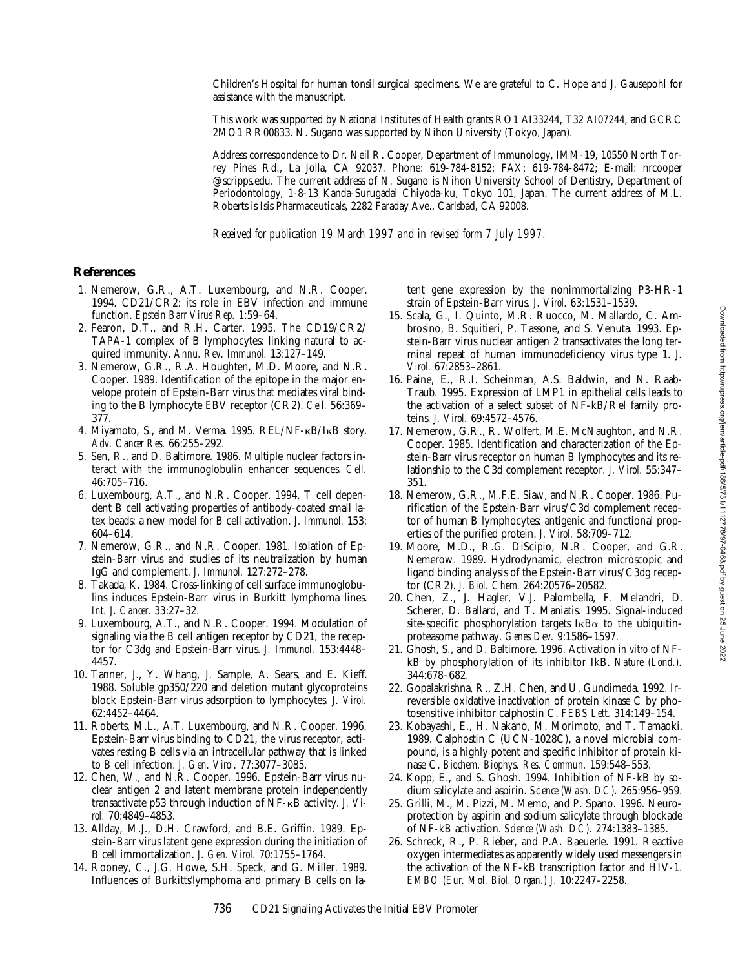Children's Hospital for human tonsil surgical specimens. We are grateful to C. Hope and J. Gausepohl for assistance with the manuscript.

This work was supported by National Institutes of Health grants RO1 AI33244, T32 AI07244, and GCRC 2MO1 RR00833. N. Sugano was supported by Nihon University (Tokyo, Japan).

Address correspondence to Dr. Neil R. Cooper, Department of Immunology, IMM-19, 10550 North Torrey Pines Rd., La Jolla, CA 92037. Phone: 619-784-8152; FAX: 619-784-8472; E-mail: nrcooper @scripps.edu. The current address of N. Sugano is Nihon University School of Dentistry, Department of Periodontology, 1-8-13 Kanda-Surugadai Chiyoda-ku, Tokyo 101, Japan. The current address of M.L. Roberts is Isis Pharmaceuticals, 2282 Faraday Ave., Carlsbad, CA 92008.

*Received for publication 19 March 1997 and in revised form 7 July 1997.*

# **References**

- 1. Nemerow, G.R., A.T. Luxembourg, and N.R. Cooper. 1994. CD21/CR2: its role in EBV infection and immune function. *Epstein Barr Virus Rep.* 1:59–64.
- 2. Fearon, D.T., and R.H. Carter. 1995. The CD19/CR2/ TAPA-1 complex of B lymphocytes: linking natural to acquired immunity. *Annu. Rev. Immunol.* 13:127–149.
- 3. Nemerow, G.R., R.A. Houghten, M.D. Moore, and N.R. Cooper. 1989. Identification of the epitope in the major envelope protein of Epstein-Barr virus that mediates viral binding to the B lymphocyte EBV receptor (CR2). *Cell.* 56:369– 377.
- 4. Miyamoto, S., and M. Verma. 1995. REL/NF-kB/IkB story. *Adv. Cancer Res.* 66:255–292.
- 5. Sen, R., and D. Baltimore. 1986. Multiple nuclear factors interact with the immunoglobulin enhancer sequences. *Cell.* 46:705–716.
- 6. Luxembourg, A.T., and N.R. Cooper. 1994. T cell dependent B cell activating properties of antibody-coated small latex beads: a new model for B cell activation. *J. Immunol.* 153: 604–614.
- 7. Nemerow, G.R., and N.R. Cooper. 1981. Isolation of Epstein-Barr virus and studies of its neutralization by human IgG and complement. *J. Immunol.* 127:272–278.
- 8. Takada, K. 1984. Cross-linking of cell surface immunoglobulins induces Epstein-Barr virus in Burkitt lymphoma lines. *Int. J. Cancer.* 33:27–32.
- 9. Luxembourg, A.T., and N.R. Cooper. 1994. Modulation of signaling via the B cell antigen receptor by CD21, the receptor for C3dg and Epstein-Barr virus. *J. Immunol.* 153:4448– 4457.
- 10. Tanner, J., Y. Whang, J. Sample, A. Sears, and E. Kieff. 1988. Soluble  $gp350/\overline{2}20$  and deletion mutant glycoproteins block Epstein-Barr virus adsorption to lymphocytes. *J. Virol.* 62:4452–4464.
- 11. Roberts, M.L., A.T. Luxembourg, and N.R. Cooper. 1996. Epstein-Barr virus binding to CD21, the virus receptor, activates resting B cells via an intracellular pathway that is linked to B cell infection. *J. Gen. Virol.* 77:3077–3085.
- 12. Chen, W., and N.R. Cooper. 1996. Epstein-Barr virus nuclear antigen 2 and latent membrane protein independently transactivate p53 through induction of NF-kB activity. *J. Virol.* 70:4849–4853.
- 13. Allday, M.J., D.H. Crawford, and B.E. Griffin. 1989. Epstein-Barr virus latent gene expression during the initiation of B cell immortalization. *J. Gen. Virol.* 70:1755–1764.
- 14. Rooney, C., J.G. Howe, S.H. Speck, and G. Miller. 1989. Influences of Burkitts'lymphoma and primary B cells on la-

tent gene expression by the nonimmortalizing P3-HR-1 strain of Epstein-Barr virus. *J. Virol.* 63:1531–1539.

- 15. Scala, G., I. Quinto, M.R. Ruocco, M. Mallardo, C. Ambrosino, B. Squitieri, P. Tassone, and S. Venuta. 1993. Epstein-Barr virus nuclear antigen 2 transactivates the long terminal repeat of human immunodeficiency virus type 1. *J. Virol.* 67:2853–2861.
- 16. Paine, E., R.I. Scheinman, A.S. Baldwin, and N. Raab-Traub. 1995. Expression of LMP1 in epithelial cells leads to the activation of a select subset of NF-kB/Rel family proteins. *J. Virol.* 69:4572–4576.
- 17. Nemerow, G.R., R. Wolfert, M.E. McNaughton, and N.R. Cooper. 1985. Identification and characterization of the Epstein-Barr virus receptor on human B lymphocytes and its relationship to the C3d complement receptor. *J. Virol.* 55:347– 351.
- 18. Nemerow, G.R., M.F.E. Siaw, and N.R. Cooper. 1986. Purification of the Epstein-Barr virus/C3d complement receptor of human B lymphocytes: antigenic and functional properties of the purified protein. *J. Virol.* 58:709–712.
- 19. Moore, M.D., R.G. DiScipio, N.R. Cooper, and G.R. Nemerow. 1989. Hydrodynamic, electron microscopic and ligand binding analysis of the Epstein-Barr virus/C3dg receptor (CR2). *J. Biol. Chem.* 264:20576–20582.
- 20. Chen, Z., J. Hagler, V.J. Palombella, F. Melandri, D. Scherer, D. Ballard, and T. Maniatis. 1995. Signal-induced site-specific phosphorylation targets  $I \kappa B\alpha$  to the ubiquitinproteasome pathway. *Genes Dev.* 9:1586–1597.
- 21. Ghosh, S., and D. Baltimore. 1996. Activation *in vitro* of NFkB by phosphorylation of its inhibitor IkB. *Nature (Lond.).* 344:678–682.
- 22. Gopalakrishna, R., Z.H. Chen, and U. Gundimeda. 1992. Irreversible oxidative inactivation of protein kinase C by photosensitive inhibitor calphostin C. *FEBS Lett.* 314:149–154.
- 23. Kobayashi, E., H. Nakano, M. Morimoto, and T. Tamaoki. 1989. Calphostin C (UCN-1028C), a novel microbial compound, is a highly potent and specific inhibitor of protein kinase C. *Biochem. Biophys. Res. Commun.* 159:548–553.
- 24. Kopp, E., and S. Ghosh. 1994. Inhibition of NF-kB by sodium salicylate and aspirin. *Science (Wash. DC).* 265:956–959.
- 25. Grilli, M., M. Pizzi, M. Memo, and P. Spano. 1996. Neuroprotection by aspirin and sodium salicylate through blockade of NF-kB activation. *Science (Wash. DC).* 274:1383–1385.
- 26. Schreck, R., P. Rieber, and P.A. Baeuerle. 1991. Reactive oxygen intermediates as apparently widely used messengers in the activation of the NF-kB transcription factor and HIV-1. *EMBO (Eur. Mol. Biol. Organ.) J.* 10:2247–2258.